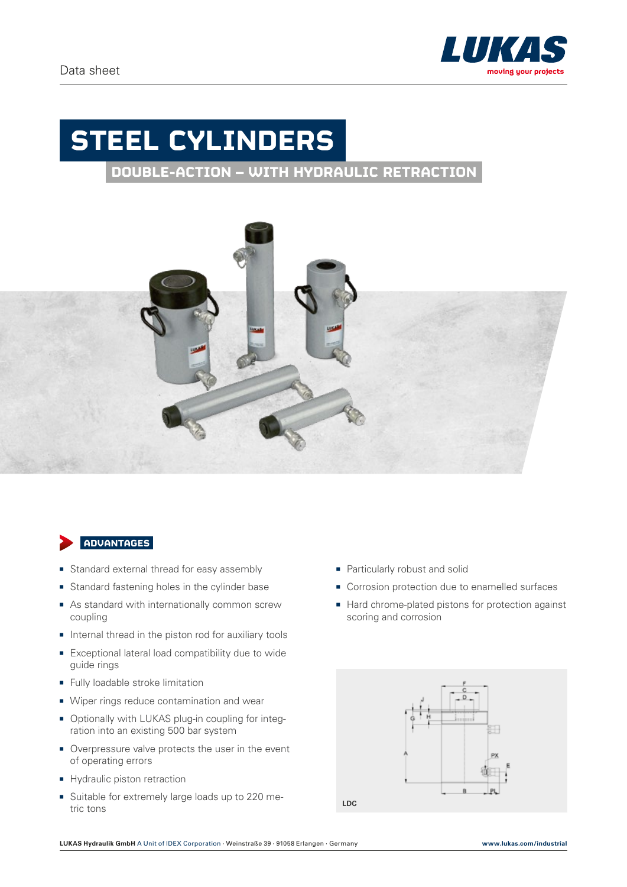

## **STEEL CYLINDERS**

**DOUBLE-ACTION – WITH HYDRAULIC RETRACTION** 



## **ADVANTAGES**

- **Standard external thread for easy assembly**
- Standard fastening holes in the cylinder base
- $\blacksquare$  As standard with internationally common screw coupling
- $\blacksquare$  Internal thread in the piston rod for auxiliary tools
- Exceptional lateral load compatibility due to wide guide rings
- **Fully loadable stroke limitation**
- Wiper rings reduce contamination and wear
- Optionally with LUKAS plug-in coupling for integration into an existing 500 bar system
- Overpressure valve protects the user in the event of operating errors
- Hydraulic piston retraction
- Suitable for extremely large loads up to 220 metric tons
- Particularly robust and solid
- Corrosion protection due to enamelled surfaces
- Hard chrome-plated pistons for protection against scoring and corrosion